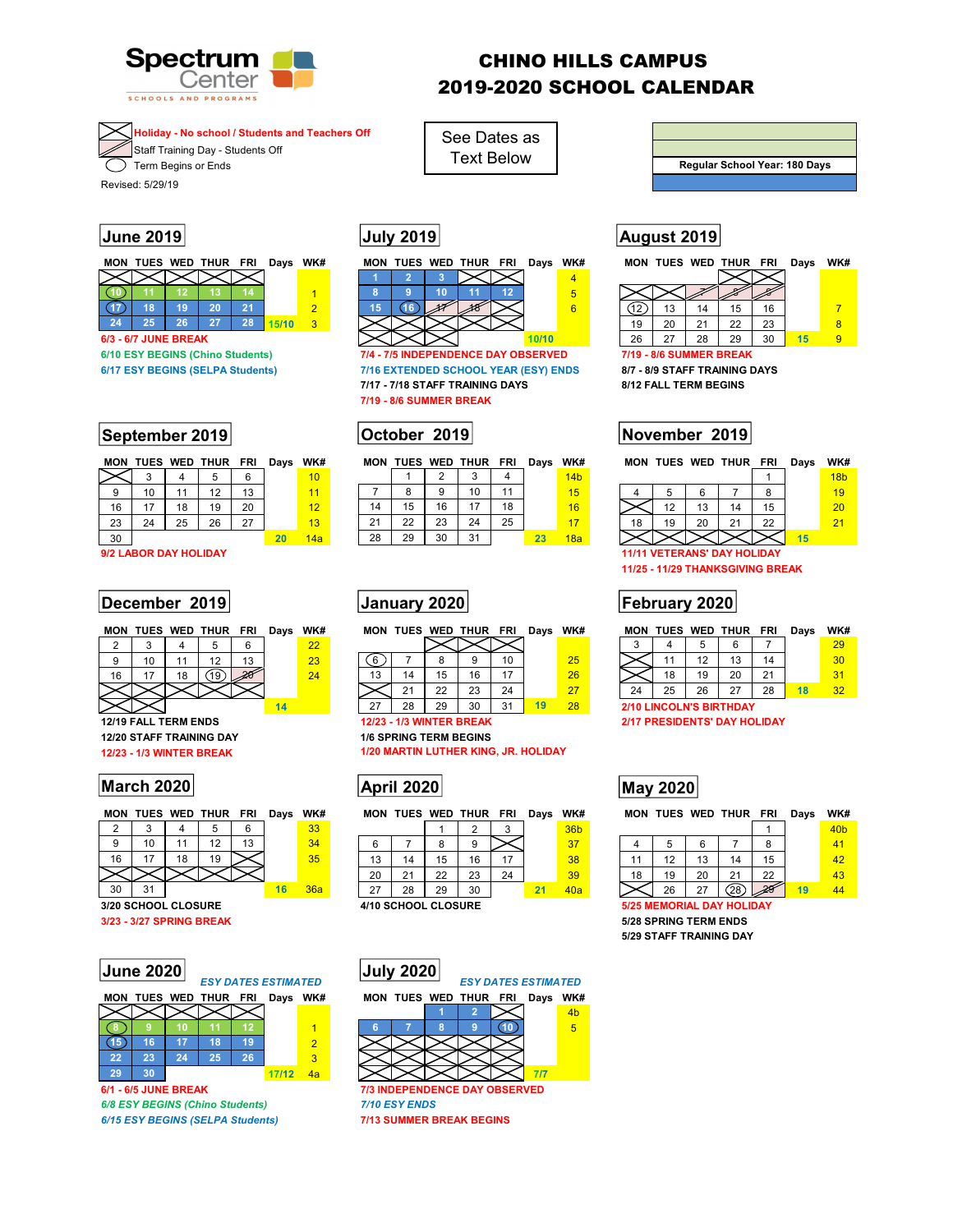

# CHINO HILLS CAMPUS 2019-2020 SCHOOL CALENDAR

**Holiday - No school / Students and Teachers Off 4**

Staff Training Day - Students Off  $\overline{\mathcal{F}}$  Term Begins or Ends

Revised: 5/29/19

|    |                             |    | <b>MON TUES WED THUR FRI</b> |    | Days  | WK# |
|----|-----------------------------|----|------------------------------|----|-------|-----|
|    |                             |    |                              |    |       |     |
|    |                             |    |                              |    |       |     |
|    | 18                          | 19 | 20                           | 21 |       | 2   |
| 24 | 25                          | 26 | 27                           | 28 | 15/10 | з   |
|    | <b>6/3 - 6/7 JUNE BREAK</b> |    |                              |    |       |     |

**September 2019 October 2019 November 2019**

|    | MON TUES WED THUR FRI |    |    |    | Days WK# |                 |
|----|-----------------------|----|----|----|----------|-----------------|
|    |                       |    | 5. | 6  |          | 10              |
| 9  | 10                    | 11 | 12 | 13 |          | 11              |
| 16 | 17                    | 18 | 19 | 20 |          | 12 <sub>2</sub> |
| 23 | 24                    | 25 | 26 | 27 |          | 13              |
| 30 |                       |    |    |    | 20       | 14a             |

**9/2 LABOR DAY HOLIDAY 11/11 VETERANS' DAY HOLIDAY** 

## **December 2019 January 2020 February 2020**

|    |    |    | MON TUES WED THUR FRI |    | Days | WK# | MО |
|----|----|----|-----------------------|----|------|-----|----|
|    |    |    |                       |    |      | 22  |    |
|    | 10 | 11 | 12                    | 13 |      | 23  |    |
| 16 | 17 | 18 |                       |    |      | 24  | 13 |
|    |    |    |                       |    |      |     |    |
|    |    |    |                       |    |      |     |    |

**12/20 STAFF TRAINING DAY** 1/6 SPRING TERM BEGINS<br>12/23 - 1/3 WINTER BREAK 1/20 MARTIN LUTHER KING

# **March 2020 March 2020 May 2020**

|    |    |    | MON TUES WED THUR FRI |    | Days | WK# |  |
|----|----|----|-----------------------|----|------|-----|--|
|    |    |    |                       | 6  |      | 33  |  |
| 9  | 10 | 11 | 12                    | 13 |      | 34  |  |
| 16 | 17 | 18 | 19                    |    |      | 35  |  |
|    |    |    |                       |    |      |     |  |
| 30 | 31 |    |                       |    | 16   | 36a |  |

| $\vert$ June 2020 $\vert$ |               |
|---------------------------|---------------|
|                           | <b>ESY DA</b> |
| <b>MON TUES WED THUR</b>  |               |

**6/1 - 6/5 JUNE BREAK 7/3 INDEPENDENCE DAY OBSERVED** *6/8 ESY BEGINS (Chino Students) 7/10 ESY ENDS 6/15 ESY BEGINS (SELPA Students)* **7/13 SUMMER BREAK BEGINS** 



See Dates as Text Below

**6/10 ESY BEGINS (Chino Students) 7/4 - 7/5 INDEPENDENCE DAY OBSERVED 6/17 ESY BEGINS (SELPA Students) 7/16 EXTENDED SCHOOL YEAR (ESY) ENDS 8/7 - 8/9 STAFF TRAINING DAYS 7/17 - 7/18 STAFF TRAINING DAYS 8/12 FALL TERM BEGINS 7/19 - 8/6 SUMMER BREAK** 

## MON TUES WED THUR FRI Days WK#

|    |    |    | ঽ  |    |    | 14 <sub>b</sub> |  |
|----|----|----|----|----|----|-----------------|--|
|    | 8  | 9  | 10 |    |    | 15              |  |
| 14 | 15 | 16 |    | 18 |    | 16              |  |
| 21 | 22 | 23 | 24 | 25 |    |                 |  |
| 28 | 29 | 30 | 31 |    | 23 | 18a             |  |



|    |    |    |    | 10 | 25 |  |
|----|----|----|----|----|----|--|
| 13 | 14 | 15 | 16 |    | 26 |  |
|    |    | 22 | 23 | 24 | 27 |  |
| 27 | 28 | 29 |    |    | л  |  |

**1/20 MARTIN LUTHER KING, JR. HOLIDAY** 

|    |    |    |    | WK#                           |  |
|----|----|----|----|-------------------------------|--|
|    |    |    |    | 36 <sub>b</sub>               |  |
|    | 9  |    |    | 37                            |  |
| 15 | 16 | 17 |    | 38                            |  |
| 22 | 23 | 24 |    | 39                            |  |
| 29 | 30 |    | 21 | 40a                           |  |
|    |    |    |    | MON TUES WED THUR FRI<br>Days |  |



# **Regular School Year: 180 Days**

# **June 2019 July 2019 August 2019**

| MON | TUES WED THUR FRI                      |      |    | Days  | WK# | MON |  | TUES WED THUR                       | FRI | Days  | WK# | <b>MON</b>              |    | <b>TUES WED THUR</b> |    | <b>FRI</b> | Days | WK# |  |
|-----|----------------------------------------|------|----|-------|-----|-----|--|-------------------------------------|-----|-------|-----|-------------------------|----|----------------------|----|------------|------|-----|--|
|     |                                        |      |    |       |     |     |  |                                     |     |       | 4   |                         |    |                      |    |            |      |     |  |
|     |                                        |      |    |       |     |     |  |                                     |     |       | 5   |                         |    |                      |    |            |      |     |  |
|     | 18                                     | 20   | 24 |       |     |     |  |                                     |     |       | 6   |                         |    |                      | 15 | 16         |      |     |  |
| 24  | 25                                     | $-1$ | 28 | 15/10 |     |     |  |                                     |     |       |     | 19                      | 20 | $\mathbf{A}$         | 22 | 23         |      |     |  |
|     | <b>6/3 - 6/7 JUNE BREAK</b>            |      |    |       |     |     |  |                                     |     | 10/10 |     | 26                      | 27 | 28                   | 29 | 30         |      |     |  |
|     | <b>140 FSY REGINS (Chino Students)</b> |      |    |       |     |     |  | 7/4 - 7/5 INDEPENDENCE DAY ORSERVED |     |       |     | 7/19 - 8/6 SHMMER RREAK |    |                      |    |            |      |     |  |

|    | MON TUES WED THUR FRI             |    |    |    | Days | WK#             |  |
|----|-----------------------------------|----|----|----|------|-----------------|--|
|    |                                   |    |    |    |      | 18 <sub>b</sub> |  |
|    | 5                                 | 6  |    | 8  |      | 19              |  |
|    | 12                                | 13 | 14 | 15 |      | 20              |  |
| 18 | 19                                | 20 | 21 | 22 |      | 21              |  |
|    |                                   |    |    |    | 15   |                 |  |
|    | <b>AAMA VETEDANG' DAV UOLIDAV</b> |    |    |    |      |                 |  |

**11/25 - 11/29 THANKSGIVING BREAK** 

| MON |    |    | TUES WED THUR            | FRI       | Davs | WK#           | <b>MON</b> | <b>TUES</b> | WED                 | <b>THUR</b> | FRI | Days | WK# | MON | <b>TUES WED</b> |    | <b>THUR</b> | <b>FRI</b>    | Davs | WK#             |  |
|-----|----|----|--------------------------|-----------|------|---------------|------------|-------------|---------------------|-------------|-----|------|-----|-----|-----------------|----|-------------|---------------|------|-----------------|--|
|     |    |    |                          |           |      | $\Omega$<br>" |            |             |                     |             |     |      |     |     |                 |    |             |               |      | 29              |  |
|     | 10 |    | $\overline{\phantom{a}}$ | <b>פו</b> |      | 23            |            |             |                     |             |     |      | 25  |     |                 |    |             |               |      | 30 <sup>°</sup> |  |
| 16  |    | 18 |                          | 24        |      | 24            |            |             |                     | $\epsilon$  |     |      | 26  |     | 18              | 19 | 20          | ː<br><u>_</u> |      |                 |  |
|     |    |    |                          |           |      |               |            |             | $\cap$<br><u>__</u> | ົດລ         | 24  |      | 27  | 24  | 25              | 26 | 27          | 28            |      | າາ              |  |

**2/10 LINCOLN'S BIRTHDAY** 

**12/23 - 1/3 WINTER BREAK 2/17 PRESIDENTS' DAY HOLIDAY 12/23 - 1/3 WINTER BREAK** 2/17 PRESIDENTS' DAY HOLIDAY

|    |    |    | MON TUES WED THUR FRI |    | Davs | WK# |        |    |                | MON TUES WED THUR | <b>FRI</b> | Days | WK#             |    |    |     | MON TUES WED THUR | <b>FRI</b> | Davs | WK#             |  |
|----|----|----|-----------------------|----|------|-----|--------|----|----------------|-------------------|------------|------|-----------------|----|----|-----|-------------------|------------|------|-----------------|--|
|    |    |    |                       |    |      | 33  |        |    |                |                   |            |      | 36 <sub>b</sub> |    |    |     |                   |            |      | 40 <sub>b</sub> |  |
|    | 10 |    | $\sqrt{2}$            | 13 |      | 34  |        |    |                |                   |            |      | 37              |    |    |     |                   |            |      | 41              |  |
| 16 |    | 18 | 19                    |    |      | 35  | 13     | 14 |                | R                 |            |      | 38              |    |    | ں ا | 14                |            |      | 42              |  |
|    |    |    |                       |    |      |     | 20     |    | $\Omega$<br>__ | 23                | 24         |      | 39              | 18 | 19 | 20  | 21                | 22         |      | 43              |  |
| 30 | 31 |    |                       |    |      | 36a | $\sim$ | 28 | 29             | 30                |            |      | 40a             |    | 26 | 27  | (28)              | 28         |      |                 |  |

**3/20 SCHOOL CLOSURE 4/10 SCHOOL CLOSURE 5/25 MEMORIAL DAY HOLIDAY 3/23 - 3/27 SPRING BREAK 5/28 SPRING TERM ENDS 5/29 STAFF TRAINING DAY**